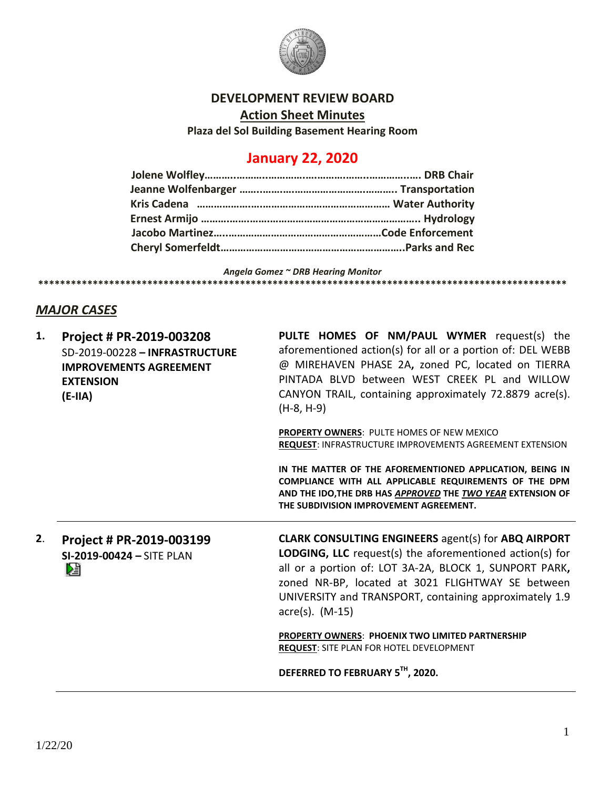

## **DEVELOPMENT REVIEW BOARD**

**Action Sheet Minutes**

**Plaza del Sol Building Basement Hearing Room**

## **January 22, 2020**

*Angela Gomez ~ DRB Hearing Monitor* **\*\*\*\*\*\*\*\*\*\*\*\*\*\*\*\*\*\*\*\*\*\*\*\*\*\*\*\*\*\*\*\*\*\*\*\*\*\*\*\*\*\*\*\*\*\*\*\*\*\*\*\*\*\*\*\*\*\*\*\*\*\*\*\*\*\*\*\*\*\*\*\*\*\*\*\*\*\*\*\*\*\*\*\*\*\*\*\*\*\*\*\*\*\*\*\*\***

## *MAJOR CASES*

| 1. | Project # PR-2019-003208<br>SD-2019-00228 - INFRASTRUCTURE<br><b>IMPROVEMENTS AGREEMENT</b><br><b>EXTENSION</b><br>$(E-IIA)$ | PULTE HOMES OF NM/PAUL WYMER request(s) the<br>aforementioned action(s) for all or a portion of: DEL WEBB<br>@ MIREHAVEN PHASE 2A, zoned PC, located on TIERRA<br>PINTADA BLVD between WEST CREEK PL and WILLOW<br>CANYON TRAIL, containing approximately 72.8879 acre(s).<br>$(H-8, H-9)$                                |
|----|------------------------------------------------------------------------------------------------------------------------------|---------------------------------------------------------------------------------------------------------------------------------------------------------------------------------------------------------------------------------------------------------------------------------------------------------------------------|
|    |                                                                                                                              | PROPERTY OWNERS: PULTE HOMES OF NEW MEXICO<br>REQUEST: INFRASTRUCTURE IMPROVEMENTS AGREEMENT EXTENSION                                                                                                                                                                                                                    |
|    |                                                                                                                              | IN THE MATTER OF THE AFOREMENTIONED APPLICATION, BEING IN<br>COMPLIANCE WITH ALL APPLICABLE REQUIREMENTS OF THE DPM<br>AND THE IDO, THE DRB HAS APPROVED THE TWO YEAR EXTENSION OF<br>THE SUBDIVISION IMPROVEMENT AGREEMENT.                                                                                              |
| 2. | Project # PR-2019-003199<br>SI-2019-00424 - SITE PLAN<br>凔                                                                   | <b>CLARK CONSULTING ENGINEERS</b> agent(s) for ABQ AIRPORT<br><b>LODGING, LLC</b> request(s) the aforementioned action(s) for<br>all or a portion of: LOT 3A-2A, BLOCK 1, SUNPORT PARK,<br>zoned NR-BP, located at 3021 FLIGHTWAY SE between<br>UNIVERSITY and TRANSPORT, containing approximately 1.9<br>acre(s). (M-15) |
|    |                                                                                                                              | <b>PROPERTY OWNERS: PHOENIX TWO LIMITED PARTNERSHIP</b><br><b>REQUEST: SITE PLAN FOR HOTEL DEVELOPMENT</b>                                                                                                                                                                                                                |
|    |                                                                                                                              | DEFERRED TO FEBRUARY 5TH, 2020.                                                                                                                                                                                                                                                                                           |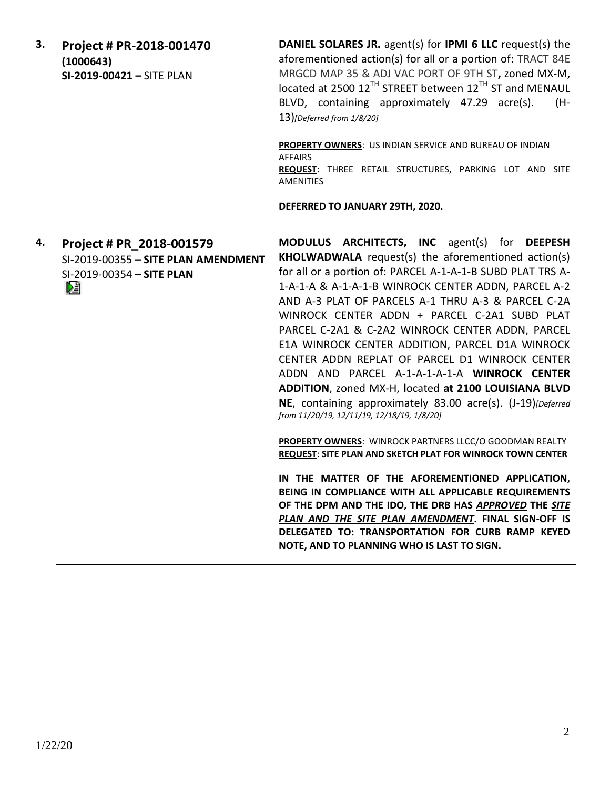| 3. | Project # PR-2018-001470<br>(1000643)<br>SI-2019-00421 - SITE PLAN                                 | DANIEL SOLARES JR. agent(s) for IPMI 6 LLC request(s) the<br>aforementioned action(s) for all or a portion of: TRACT 84E<br>MRGCD MAP 35 & ADJ VAC PORT OF 9TH ST, zoned MX-M,<br>located at 2500 12 <sup>TH</sup> STREET between 12 <sup>TH</sup> ST and MENAUL<br>BLVD, containing approximately 47.29 acre(s).<br>(H-<br>13)[Deferred from 1/8/20]                                                                                                                                                                                                                                                                                                                                                        |
|----|----------------------------------------------------------------------------------------------------|--------------------------------------------------------------------------------------------------------------------------------------------------------------------------------------------------------------------------------------------------------------------------------------------------------------------------------------------------------------------------------------------------------------------------------------------------------------------------------------------------------------------------------------------------------------------------------------------------------------------------------------------------------------------------------------------------------------|
|    |                                                                                                    | PROPERTY OWNERS: US INDIAN SERVICE AND BUREAU OF INDIAN<br><b>AFFAIRS</b><br>REQUEST: THREE RETAIL STRUCTURES, PARKING LOT AND SITE<br><b>AMENITIES</b>                                                                                                                                                                                                                                                                                                                                                                                                                                                                                                                                                      |
|    |                                                                                                    | DEFERRED TO JANUARY 29TH, 2020.                                                                                                                                                                                                                                                                                                                                                                                                                                                                                                                                                                                                                                                                              |
| 4. | Project # PR_2018-001579<br>SI-2019-00355 - SITE PLAN AMENDMENT<br>SI-2019-00354 - SITE PLAN<br>D. | MODULUS ARCHITECTS, INC agent(s) for DEEPESH<br>KHOLWADWALA request(s) the aforementioned action(s)<br>for all or a portion of: PARCEL A-1-A-1-B SUBD PLAT TRS A-<br>1-A-1-A & A-1-A-1-B WINROCK CENTER ADDN, PARCEL A-2<br>AND A-3 PLAT OF PARCELS A-1 THRU A-3 & PARCEL C-2A<br>WINROCK CENTER ADDN + PARCEL C-2A1 SUBD PLAT<br>PARCEL C-2A1 & C-2A2 WINROCK CENTER ADDN, PARCEL<br>E1A WINROCK CENTER ADDITION, PARCEL D1A WINROCK<br>CENTER ADDN REPLAT OF PARCEL D1 WINROCK CENTER<br>ADDN AND PARCEL A-1-A-1-A-1-A WINROCK CENTER<br>ADDITION, zoned MX-H, located at 2100 LOUISIANA BLVD<br>NE, containing approximately 83.00 acre(s). (J-19)[Deferred<br>from 11/20/19, 12/11/19, 12/18/19, 1/8/20] |
|    |                                                                                                    | PROPERTY OWNERS: WINROCK PARTNERS LLCC/O GOODMAN REALTY<br>REQUEST: SITE PLAN AND SKETCH PLAT FOR WINROCK TOWN CENTER                                                                                                                                                                                                                                                                                                                                                                                                                                                                                                                                                                                        |
|    |                                                                                                    | IN THE MATTER OF THE AFOREMENTIONED APPLICATION,<br>BEING IN COMPLIANCE WITH ALL APPLICABLE REQUIREMENTS<br>OF THE DPM AND THE IDO, THE DRB HAS APPROVED THE SITE<br>PLAN AND THE SITE PLAN AMENDMENT. FINAL SIGN-OFF IS<br>DELEGATED TO: TRANSPORTATION FOR CURB RAMP KEYED<br>NOTE, AND TO PLANNING WHO IS LAST TO SIGN.                                                                                                                                                                                                                                                                                                                                                                                   |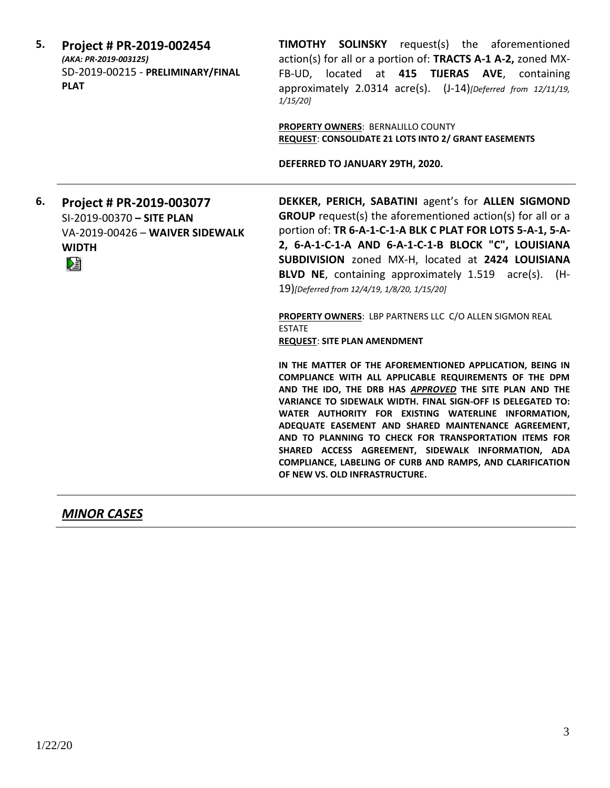| 5. | Project # PR-2019-002454<br>(AKA: PR-2019-003125)<br>SD-2019-00215 - PRELIMINARY/FINAL<br><b>PLAT</b>         | <b>TIMOTHY SOLINSKY</b> request(s) the aforementioned<br>action(s) for all or a portion of: TRACTS A-1 A-2, zoned MX-<br>FB-UD, located at 415 TIJERAS AVE, containing<br>approximately 2.0314 acre(s). (J-14) [Deferred from 12/11/19,<br>$1/15/20$ ]<br><b>PROPERTY OWNERS: BERNALILLO COUNTY</b><br>REQUEST: CONSOLIDATE 21 LOTS INTO 2/ GRANT EASEMENTS<br>DEFERRED TO JANUARY 29TH, 2020.                                                                                                                                                                                                                                                                                               |
|----|---------------------------------------------------------------------------------------------------------------|----------------------------------------------------------------------------------------------------------------------------------------------------------------------------------------------------------------------------------------------------------------------------------------------------------------------------------------------------------------------------------------------------------------------------------------------------------------------------------------------------------------------------------------------------------------------------------------------------------------------------------------------------------------------------------------------|
| 6. | Project # PR-2019-003077<br>SI-2019-00370 - SITE PLAN<br>VA-2019-00426 - WAIVER SIDEWALK<br><b>WIDTH</b><br>陸 | DEKKER, PERICH, SABATINI agent's for ALLEN SIGMOND<br><b>GROUP</b> request(s) the aforementioned action(s) for all or a<br>portion of: TR 6-A-1-C-1-A BLK C PLAT FOR LOTS 5-A-1, 5-A-<br>2, 6-A-1-C-1-A AND 6-A-1-C-1-B BLOCK "C", LOUISIANA<br>SUBDIVISION zoned MX-H, located at 2424 LOUISIANA<br>BLVD NE, containing approximately 1.519 acre(s). (H-<br>19)[Deferred from 12/4/19, 1/8/20, 1/15/20]                                                                                                                                                                                                                                                                                     |
|    |                                                                                                               | PROPERTY OWNERS: LBP PARTNERS LLC C/O ALLEN SIGMON REAL<br><b>ESTATE</b><br><b>REQUEST: SITE PLAN AMENDMENT</b><br>IN THE MATTER OF THE AFOREMENTIONED APPLICATION, BEING IN<br>COMPLIANCE WITH ALL APPLICABLE REQUIREMENTS OF THE DPM<br>AND THE IDO, THE DRB HAS APPROVED THE SITE PLAN AND THE<br>VARIANCE TO SIDEWALK WIDTH. FINAL SIGN-OFF IS DELEGATED TO:<br>WATER AUTHORITY FOR EXISTING WATERLINE INFORMATION,<br>ADEQUATE EASEMENT AND SHARED MAINTENANCE AGREEMENT,<br>AND TO PLANNING TO CHECK FOR TRANSPORTATION ITEMS FOR<br>SHARED ACCESS AGREEMENT, SIDEWALK INFORMATION, ADA<br>COMPLIANCE, LABELING OF CURB AND RAMPS, AND CLARIFICATION<br>OF NEW VS. OLD INFRASTRUCTURE. |

*MINOR CASES*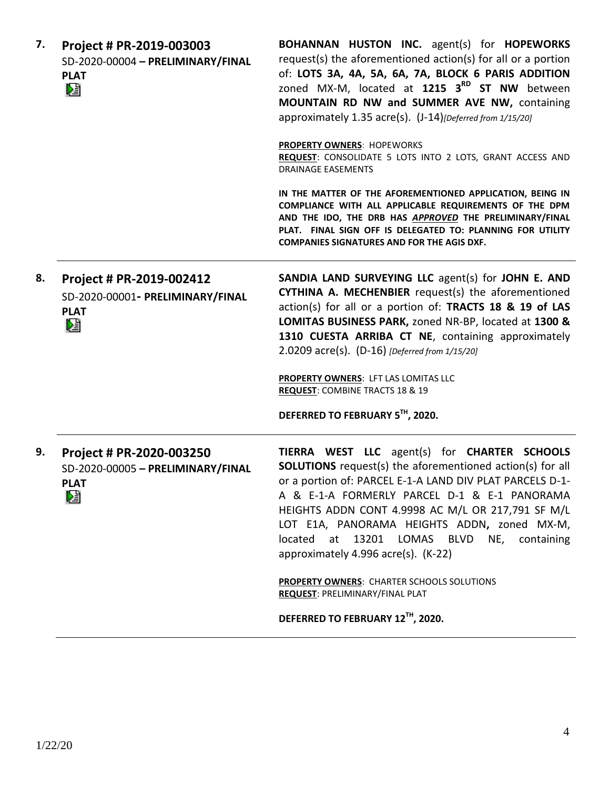| 7. | Project # PR-2019-003003<br>SD-2020-00004 - PRELIMINARY/FINAL<br><b>PLAT</b><br>N. | BOHANNAN HUSTON INC. agent(s) for HOPEWORKS<br>request(s) the aforementioned action(s) for all or a portion<br>of: LOTS 3A, 4A, 5A, 6A, 7A, BLOCK 6 PARIS ADDITION<br>zoned MX-M, located at 1215 3 <sup>RD</sup> ST NW between<br>MOUNTAIN RD NW and SUMMER AVE NW, containing<br>approximately 1.35 acre(s). (J-14)[Deferred from 1/15/20]                                                                          |
|----|------------------------------------------------------------------------------------|-----------------------------------------------------------------------------------------------------------------------------------------------------------------------------------------------------------------------------------------------------------------------------------------------------------------------------------------------------------------------------------------------------------------------|
|    |                                                                                    | <b>PROPERTY OWNERS: HOPEWORKS</b><br>REQUEST: CONSOLIDATE 5 LOTS INTO 2 LOTS, GRANT ACCESS AND<br><b>DRAINAGE EASEMENTS</b>                                                                                                                                                                                                                                                                                           |
|    |                                                                                    | IN THE MATTER OF THE AFOREMENTIONED APPLICATION, BEING IN<br>COMPLIANCE WITH ALL APPLICABLE REQUIREMENTS OF THE DPM<br>AND THE IDO, THE DRB HAS APPROVED THE PRELIMINARY/FINAL<br>PLAT. FINAL SIGN OFF IS DELEGATED TO: PLANNING FOR UTILITY<br><b>COMPANIES SIGNATURES AND FOR THE AGIS DXF.</b>                                                                                                                     |
| 8. | Project # PR-2019-002412<br>SD-2020-00001- PRELIMINARY/FINAL<br><b>PLAT</b><br>N.  | SANDIA LAND SURVEYING LLC agent(s) for JOHN E. AND<br>CYTHINA A. MECHENBIER request(s) the aforementioned<br>action(s) for all or a portion of: TRACTS 18 & 19 of LAS<br>LOMITAS BUSINESS PARK, zoned NR-BP, located at 1300 &<br>1310 CUESTA ARRIBA CT NE, containing approximately<br>2.0209 $\arccos $ . (D-16) [Deferred from 1/15/20]<br>PROPERTY OWNERS: LFT LAS LOMITAS LLC                                    |
|    |                                                                                    | <b>REQUEST: COMBINE TRACTS 18 &amp; 19</b>                                                                                                                                                                                                                                                                                                                                                                            |
|    |                                                                                    | DEFERRED TO FEBRUARY 5TH, 2020.                                                                                                                                                                                                                                                                                                                                                                                       |
| 9. | Project # PR-2020-003250<br>SD-2020-00005 - PRELIMINARY/FINAL<br><b>PLAT</b><br>N. | TIERRA WEST LLC agent(s) for CHARTER SCHOOLS<br><b>SOLUTIONS</b> request(s) the aforementioned action(s) for all<br>or a portion of: PARCEL E-1-A LAND DIV PLAT PARCELS D-1-<br>A & E-1-A FORMERLY PARCEL D-1 & E-1 PANORAMA<br>HEIGHTS ADDN CONT 4.9998 AC M/L OR 217,791 SF M/L<br>LOT E1A, PANORAMA HEIGHTS ADDN, zoned MX-M,<br>located at 13201 LOMAS BLVD NE, containing<br>approximately 4.996 acre(s). (K-22) |
|    |                                                                                    | <b>PROPERTY OWNERS: CHARTER SCHOOLS SOLUTIONS</b><br><b>REQUEST: PRELIMINARY/FINAL PLAT</b>                                                                                                                                                                                                                                                                                                                           |
|    |                                                                                    | DEFERRED TO FEBRUARY 12TH, 2020.                                                                                                                                                                                                                                                                                                                                                                                      |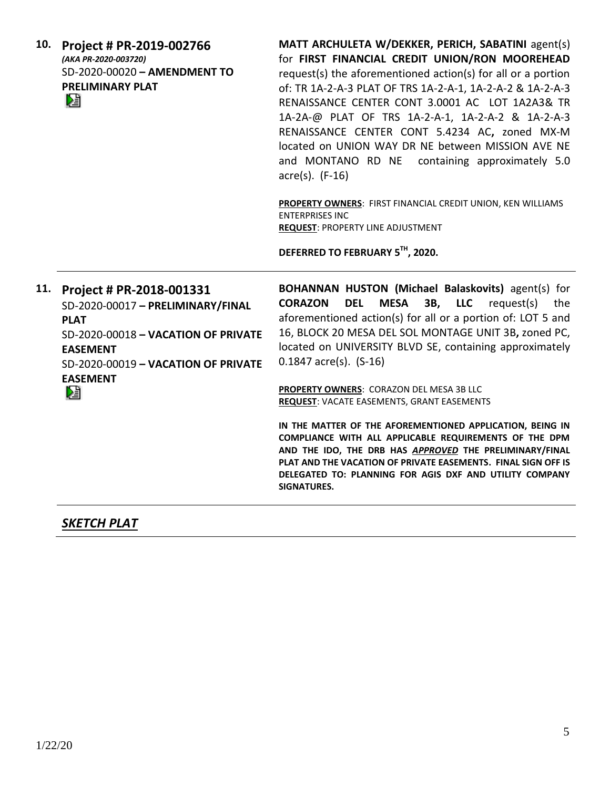| 10. | Project # PR-2019-002766<br>(AKA PR-2020-003720)<br>SD-2020-00020 - AMENDMENT TO<br><b>PRELIMINARY PLAT</b><br>N                                                                                      | MATT ARCHULETA W/DEKKER, PERICH, SABATINI agent(s)<br>for FIRST FINANCIAL CREDIT UNION/RON MOOREHEAD<br>request(s) the aforementioned action(s) for all or a portion<br>of: TR 1A-2-A-3 PLAT OF TRS 1A-2-A-1, 1A-2-A-2 & 1A-2-A-3<br>RENAISSANCE CENTER CONT 3.0001 AC LOT 1A2A3& TR<br>1A-2A-@ PLAT OF TRS 1A-2-A-1, 1A-2-A-2 & 1A-2-A-3<br>RENAISSANCE CENTER CONT 5.4234 AC, zoned MX-M<br>located on UNION WAY DR NE between MISSION AVE NE<br>and MONTANO RD NE containing approximately 5.0<br>$\arccos 0$ . (F-16)<br>PROPERTY OWNERS: FIRST FINANCIAL CREDIT UNION, KEN WILLIAMS<br><b>ENTERPRISES INC</b><br><b>REQUEST: PROPERTY LINE ADJUSTMENT</b><br>DEFERRED TO FEBRUARY 5TH, 2020.                                                                                      |
|-----|-------------------------------------------------------------------------------------------------------------------------------------------------------------------------------------------------------|----------------------------------------------------------------------------------------------------------------------------------------------------------------------------------------------------------------------------------------------------------------------------------------------------------------------------------------------------------------------------------------------------------------------------------------------------------------------------------------------------------------------------------------------------------------------------------------------------------------------------------------------------------------------------------------------------------------------------------------------------------------------------------------|
| 11. | Project # PR-2018-001331<br>SD-2020-00017 - PRELIMINARY/FINAL<br><b>PLAT</b><br>SD-2020-00018 - VACATION OF PRIVATE<br><b>EASEMENT</b><br>SD-2020-00019 - VACATION OF PRIVATE<br><b>EASEMENT</b><br>阻 | BOHANNAN HUSTON (Michael Balaskovits) agent(s) for<br><b>CORAZON</b><br><b>DEL</b><br><b>MESA</b><br>3B, LLC<br>request(s)<br>the<br>aforementioned action(s) for all or a portion of: LOT 5 and<br>16, BLOCK 20 MESA DEL SOL MONTAGE UNIT 3B, zoned PC,<br>located on UNIVERSITY BLVD SE, containing approximately<br>$0.1847$ acre(s). $(S-16)$<br>PROPERTY OWNERS: CORAZON DEL MESA 3B LLC<br><b>REQUEST: VACATE EASEMENTS, GRANT EASEMENTS</b><br>IN THE MATTER OF THE AFOREMENTIONED APPLICATION, BEING IN<br>COMPLIANCE WITH ALL APPLICABLE REQUIREMENTS OF THE DPM<br>AND THE IDO, THE DRB HAS APPROVED THE PRELIMINARY/FINAL<br>PLAT AND THE VACATION OF PRIVATE EASEMENTS. FINAL SIGN OFF IS<br>DELEGATED TO: PLANNING FOR AGIS DXF AND UTILITY COMPANY<br><b>SIGNATURES.</b> |

## *SKETCH PLAT*